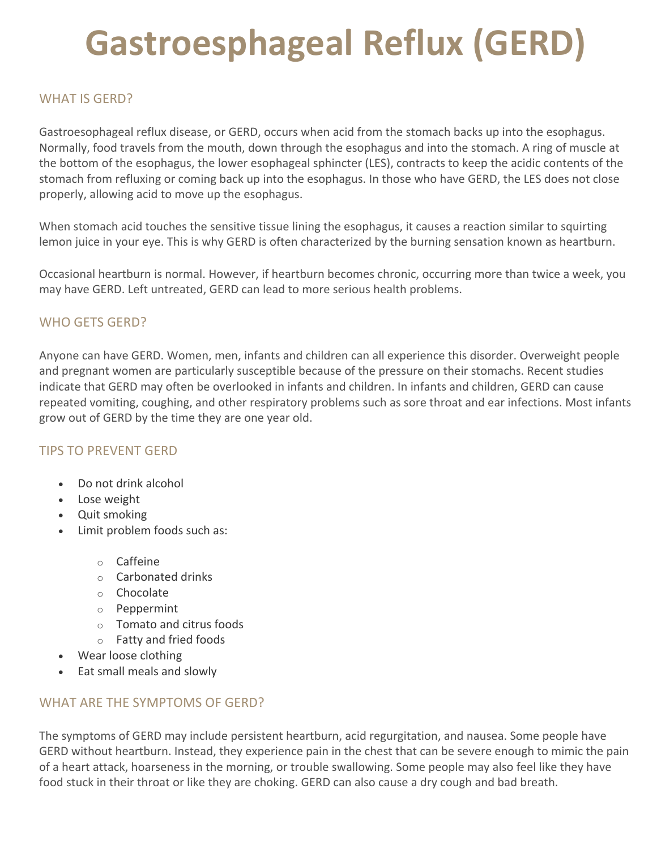# **Gastroesphageal Reflux (GERD)**

#### WHAT IS GERD?

Gastroesophageal reflux disease, or GERD, occurs when acid from the stomach backs up into the esophagus. Normally, food travels from the mouth, down through the esophagus and into the stomach. A ring of muscle at the bottom of the esophagus, the lower esophageal sphincter (LES), contracts to keep the acidic contents of the stomach from refluxing or coming back up into the esophagus. In those who have GERD, the LES does not close properly, allowing acid to move up the esophagus.

When stomach acid touches the sensitive tissue lining the esophagus, it causes a reaction similar to squirting lemon juice in your eye. This is why GERD is often characterized by the burning sensation known as heartburn.

Occasional heartburn is normal. However, if heartburn becomes chronic, occurring more than twice a week, you may have GERD. Left untreated, GERD can lead to more serious health problems.

### WHO GFTS GFRD?

Anyone can have GERD. Women, men, infants and children can all experience this disorder. Overweight people and pregnant women are particularly susceptible because of the pressure on their stomachs. Recent studies indicate that GERD may often be overlooked in infants and children. In infants and children, GERD can cause repeated vomiting, coughing, and other respiratory problems such as sore throat and ear infections. Most infants grow out of GERD by the time they are one year old.

# TIPS TO PREVENT GERD

- Do not drink alcohol
- Lose weight
- Quit smoking
- Limit problem foods such as:
	- o Caffeine
	- $\circ$  Carbonated drinks
	- o Chocolate
	- o Peppermint
	- o Tomato and citrus foods
	- $\circ$  Fatty and fried foods
- Wear loose clothing
- Eat small meals and slowly

# WHAT ARE THE SYMPTOMS OF GERD?

The symptoms of GERD may include persistent heartburn, acid regurgitation, and nausea. Some people have GERD without heartburn. Instead, they experience pain in the chest that can be severe enough to mimic the pain of a heart attack, hoarseness in the morning, or trouble swallowing. Some people may also feel like they have food stuck in their throat or like they are choking. GERD can also cause a dry cough and bad breath.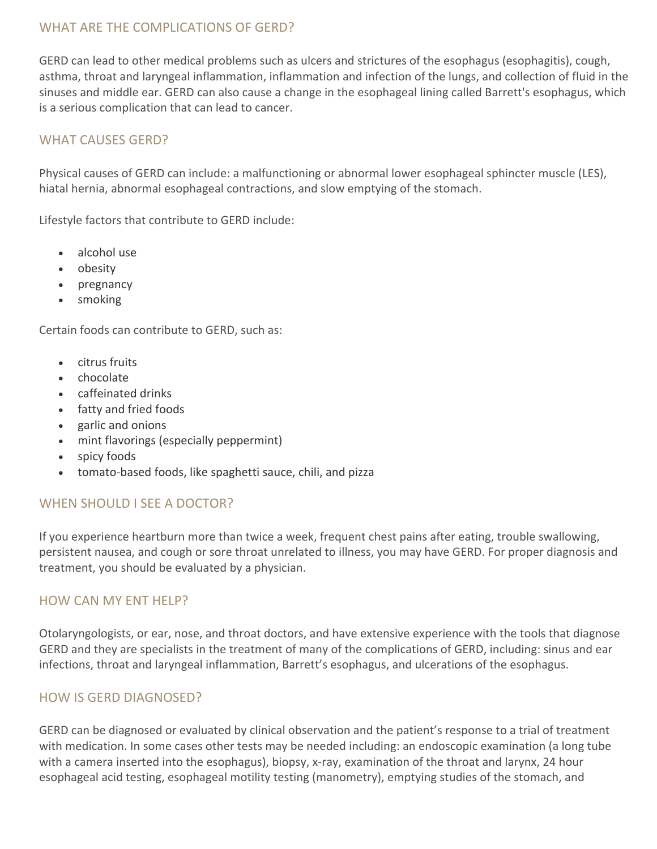#### WHAT ARE THE COMPLICATIONS OF GERD?

GERD can lead to other medical problems such as ulcers and strictures of the esophagus (esophagitis), cough, asthma, throat and laryngeal inflammation, inflammation and infection of the lungs, and collection of fluid in the sinuses and middle ear. GERD can also cause a change in the esophageal lining called Barrett's esophagus, which is a serious complication that can lead to cancer.

#### WHAT CAUSES GERD?

Physical causes of GERD can include: a malfunctioning or abnormal lower esophageal sphincter muscle (LES), hiatal hernia, abnormal esophageal contractions, and slow emptying of the stomach.

Lifestyle factors that contribute to GERD include:

- $\bullet$  alcohol use
- obesity
- pregnancy
- smoking

Certain foods can contribute to GERD, such as:

- citrus fruits
- chocolate
- caffeinated drinks
- fatty and fried foods
- garlic and onions
- mint flavorings (especially peppermint)
- spicy foods
- tomato-based foods, like spaghetti sauce, chili, and pizza

#### WHEN SHOULD I SEE A DOCTOR?

If you experience heartburn more than twice a week, frequent chest pains after eating, trouble swallowing, persistent nausea, and cough or sore throat unrelated to illness, you may have GERD. For proper diagnosis and treatment, you should be evaluated by a physician.

#### HOW CAN MY ENT HELP?

Otolaryngologists, or ear, nose, and throat doctors, and have extensive experience with the tools that diagnose GERD and they are specialists in the treatment of many of the complications of GERD, including: sinus and ear infections, throat and laryngeal inflammation, Barrett's esophagus, and ulcerations of the esophagus.

#### HOW IS GERD DIAGNOSED?

GERD can be diagnosed or evaluated by clinical observation and the patient's response to a trial of treatment with medication. In some cases other tests may be needed including: an endoscopic examination (a long tube with a camera inserted into the esophagus), biopsy, x-ray, examination of the throat and larynx, 24 hour esophageal acid testing, esophageal motility testing (manometry), emptying studies of the stomach, and